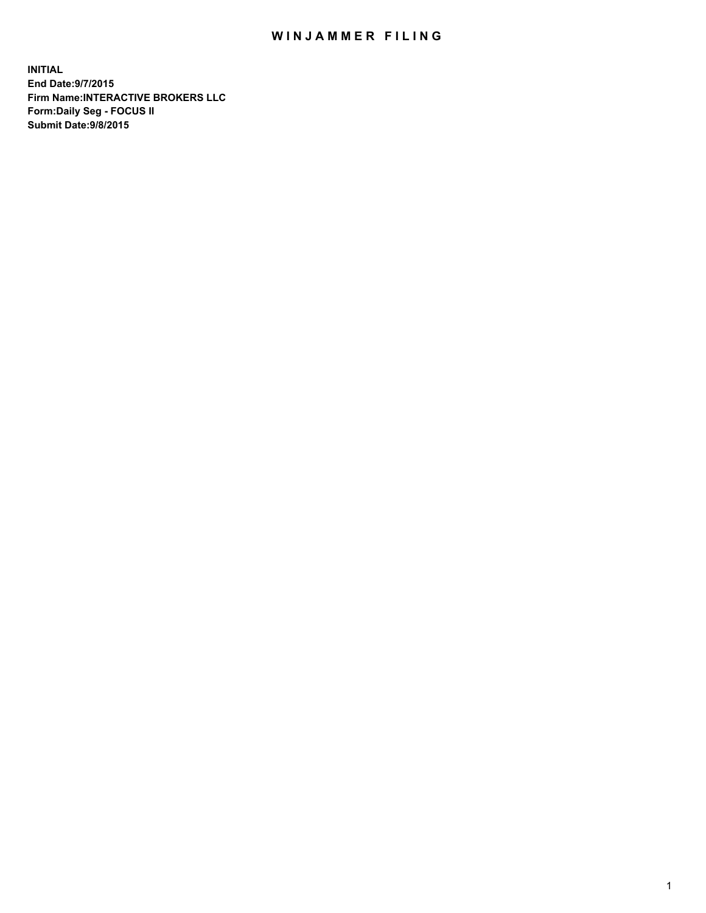## WIN JAMMER FILING

**INITIAL End Date:9/7/2015 Firm Name:INTERACTIVE BROKERS LLC Form:Daily Seg - FOCUS II Submit Date:9/8/2015**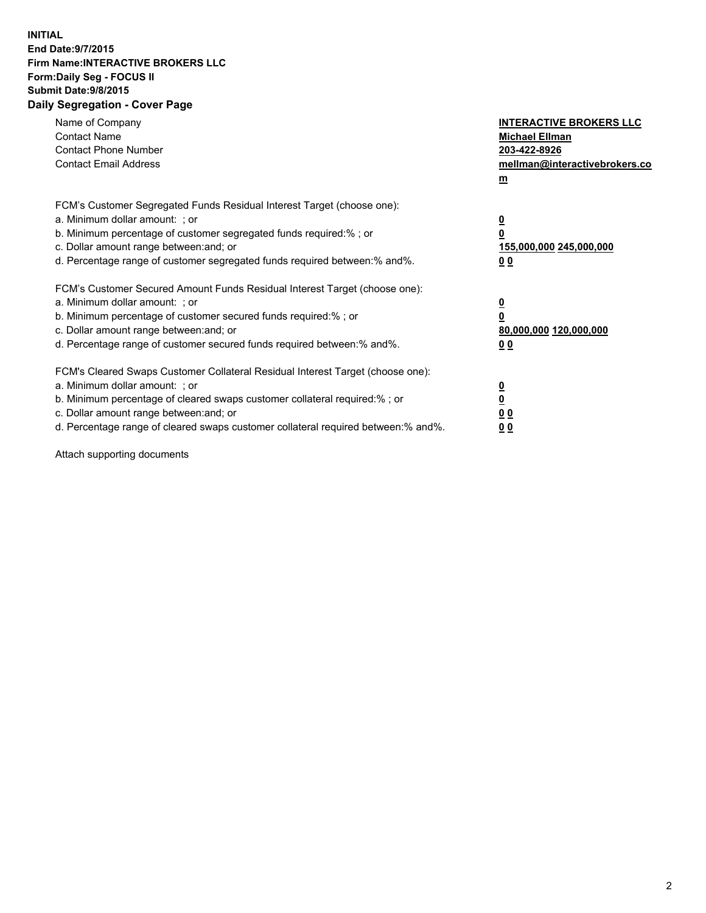## **INITIAL End Date:9/7/2015 Firm Name:INTERACTIVE BROKERS LLC Form:Daily Seg - FOCUS II Submit Date:9/8/2015 Daily Segregation - Cover Page**

| Name of Company<br><b>Contact Name</b><br><b>Contact Phone Number</b><br><b>Contact Email Address</b>                                                                                                                                                                                                                          | <b>INTERACTIVE BROKERS LLC</b><br><b>Michael Ellman</b><br>203-422-8926<br>mellman@interactivebrokers.co<br>$\mathbf{m}$ |
|--------------------------------------------------------------------------------------------------------------------------------------------------------------------------------------------------------------------------------------------------------------------------------------------------------------------------------|--------------------------------------------------------------------------------------------------------------------------|
| FCM's Customer Segregated Funds Residual Interest Target (choose one):<br>a. Minimum dollar amount: ; or<br>b. Minimum percentage of customer segregated funds required:% ; or<br>c. Dollar amount range between: and; or<br>d. Percentage range of customer segregated funds required between:% and%.                         | $\overline{\mathbf{0}}$<br>0<br>155,000,000 245,000,000<br>0 <sub>0</sub>                                                |
| FCM's Customer Secured Amount Funds Residual Interest Target (choose one):<br>a. Minimum dollar amount: ; or<br>b. Minimum percentage of customer secured funds required:%; or<br>c. Dollar amount range between: and; or<br>d. Percentage range of customer secured funds required between: % and %.                          | $\underline{\mathbf{0}}$<br>0<br>80,000,000 120,000,000<br>0 <sub>0</sub>                                                |
| FCM's Cleared Swaps Customer Collateral Residual Interest Target (choose one):<br>a. Minimum dollar amount: ; or<br>b. Minimum percentage of cleared swaps customer collateral required:% ; or<br>c. Dollar amount range between: and; or<br>d. Percentage range of cleared swaps customer collateral required between:% and%. | $\overline{\mathbf{0}}$<br>$\overline{\mathbf{0}}$<br>0 <sub>0</sub><br>0 <sup>0</sup>                                   |

Attach supporting documents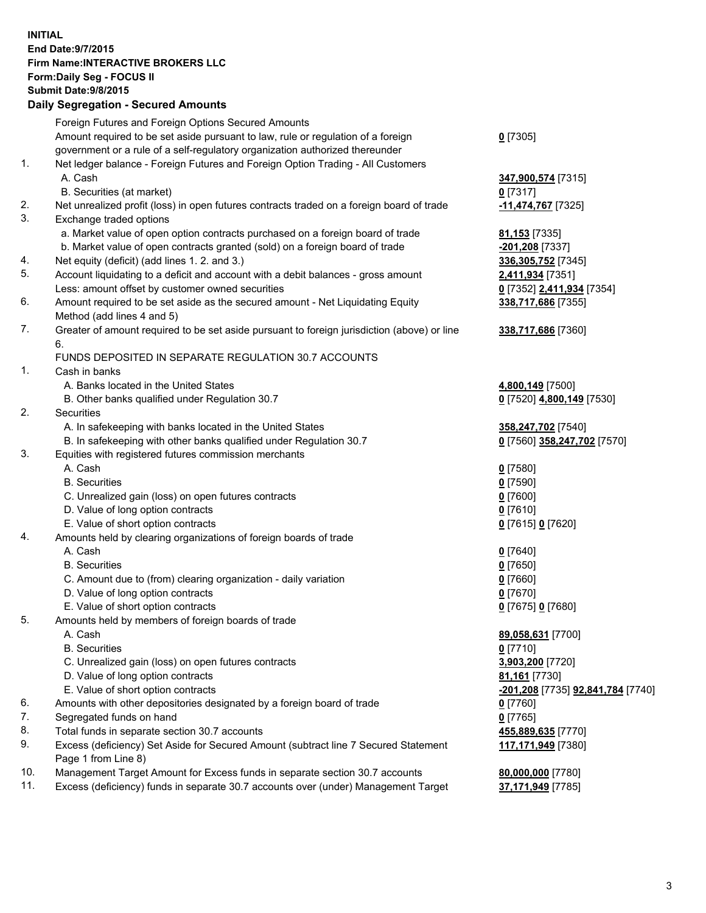## **INITIAL End Date:9/7/2015 Firm Name:INTERACTIVE BROKERS LLC Form:Daily Seg - FOCUS II Submit Date:9/8/2015 Daily Segregation - Secured Amounts**

|     | Foreign Futures and Foreign Options Secured Amounts                                         |                                                 |
|-----|---------------------------------------------------------------------------------------------|-------------------------------------------------|
|     | Amount required to be set aside pursuant to law, rule or regulation of a foreign            | $0$ [7305]                                      |
|     | government or a rule of a self-regulatory organization authorized thereunder                |                                                 |
| 1.  | Net ledger balance - Foreign Futures and Foreign Option Trading - All Customers             |                                                 |
|     | A. Cash                                                                                     | 347,900,574 [7315]                              |
|     | B. Securities (at market)                                                                   | $0$ [7317]                                      |
| 2.  | Net unrealized profit (loss) in open futures contracts traded on a foreign board of trade   | -11,474,767 [7325]                              |
| 3.  | Exchange traded options                                                                     |                                                 |
|     | a. Market value of open option contracts purchased on a foreign board of trade              | 81,153 [7335]                                   |
|     | b. Market value of open contracts granted (sold) on a foreign board of trade                | -201,208 [7337]                                 |
| 4.  | Net equity (deficit) (add lines 1.2. and 3.)                                                | 336,305,752 [7345]                              |
| 5.  | Account liquidating to a deficit and account with a debit balances - gross amount           | 2,411,934 [7351]                                |
|     | Less: amount offset by customer owned securities                                            | 0 [7352] 2,411,934 [7354]                       |
| 6.  | Amount required to be set aside as the secured amount - Net Liquidating Equity              | 338,717,686 [7355]                              |
|     | Method (add lines 4 and 5)                                                                  |                                                 |
| 7.  | Greater of amount required to be set aside pursuant to foreign jurisdiction (above) or line | 338,717,686 [7360]                              |
|     | 6.                                                                                          |                                                 |
|     | FUNDS DEPOSITED IN SEPARATE REGULATION 30.7 ACCOUNTS                                        |                                                 |
| 1.  | Cash in banks                                                                               |                                                 |
|     | A. Banks located in the United States                                                       | 4,800,149 [7500]                                |
|     | B. Other banks qualified under Regulation 30.7                                              | 0 [7520] 4,800,149 [7530]                       |
| 2.  | Securities                                                                                  |                                                 |
|     | A. In safekeeping with banks located in the United States                                   | 358,247,702 [7540]                              |
|     | B. In safekeeping with other banks qualified under Regulation 30.7                          | 0 [7560] 358,247,702 [7570]                     |
| 3.  | Equities with registered futures commission merchants                                       |                                                 |
|     | A. Cash                                                                                     | $0$ [7580]                                      |
|     | <b>B.</b> Securities                                                                        | $0$ [7590]                                      |
|     | C. Unrealized gain (loss) on open futures contracts                                         | $0$ [7600]                                      |
|     | D. Value of long option contracts                                                           | $0$ [7610]                                      |
|     | E. Value of short option contracts                                                          | 0 [7615] 0 [7620]                               |
| 4.  | Amounts held by clearing organizations of foreign boards of trade                           |                                                 |
|     | A. Cash                                                                                     | $0$ [7640]                                      |
|     | <b>B.</b> Securities                                                                        | $0$ [7650]                                      |
|     | C. Amount due to (from) clearing organization - daily variation                             | $0$ [7660]                                      |
|     | D. Value of long option contracts                                                           | $0$ [7670]                                      |
| 5.  | E. Value of short option contracts                                                          | 0 [7675] 0 [7680]                               |
|     | Amounts held by members of foreign boards of trade                                          |                                                 |
|     | A. Cash                                                                                     | 89,058,631 [7700]                               |
|     | <b>B.</b> Securities                                                                        | $0$ [7710]                                      |
|     | C. Unrealized gain (loss) on open futures contracts                                         | 3,903,200 [7720]                                |
|     | D. Value of long option contracts<br>E. Value of short option contracts                     | 81,161 [7730]                                   |
| 6.  | Amounts with other depositories designated by a foreign board of trade                      | -201,208 [7735] 92,841,784 [7740]<br>$0$ [7760] |
| 7.  | Segregated funds on hand                                                                    | $0$ [7765]                                      |
| 8.  | Total funds in separate section 30.7 accounts                                               |                                                 |
| 9.  | Excess (deficiency) Set Aside for Secured Amount (subtract line 7 Secured Statement         | 455,889,635 [7770]                              |
|     | Page 1 from Line 8)                                                                         | 117,171,949 [7380]                              |
| 10. | Management Target Amount for Excess funds in separate section 30.7 accounts                 | 80,000,000 [7780]                               |
| 11. | Excess (deficiency) funds in separate 30.7 accounts over (under) Management Target          | 37,171,949 [7785]                               |
|     |                                                                                             |                                                 |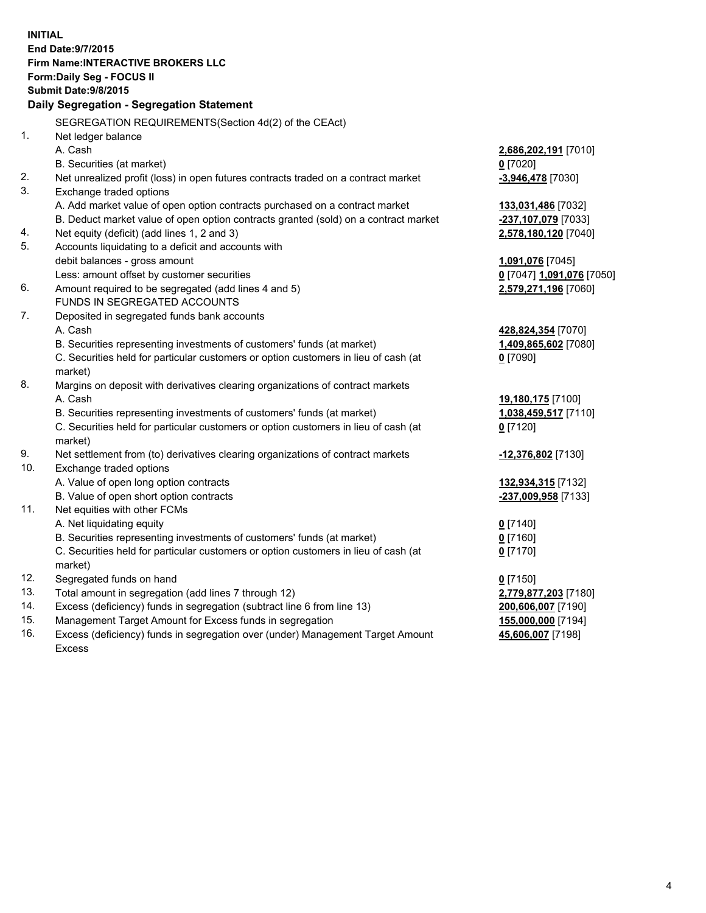**INITIAL End Date:9/7/2015 Firm Name:INTERACTIVE BROKERS LLC Form:Daily Seg - FOCUS II Submit Date:9/8/2015 Daily Segregation - Segregation Statement** SEGREGATION REQUIREMENTS(Section 4d(2) of the CEAct) 1. Net ledger balance A. Cash **2,686,202,191** [7010] B. Securities (at market) **0** [7020] 2. Net unrealized profit (loss) in open futures contracts traded on a contract market **-3,946,478** [7030] 3. Exchange traded options A. Add market value of open option contracts purchased on a contract market **133,031,486** [7032] B. Deduct market value of open option contracts granted (sold) on a contract market **-237,107,079** [7033] 4. Net equity (deficit) (add lines 1, 2 and 3) **2,578,180,120** [7040] 5. Accounts liquidating to a deficit and accounts with debit balances - gross amount **1,091,076** [7045] Less: amount offset by customer securities **0** [7047] **1,091,076** [7050] 6. Amount required to be segregated (add lines 4 and 5) **2,579,271,196** [7060] FUNDS IN SEGREGATED ACCOUNTS 7. Deposited in segregated funds bank accounts A. Cash **428,824,354** [7070] B. Securities representing investments of customers' funds (at market) **1,409,865,602** [7080] C. Securities held for particular customers or option customers in lieu of cash (at market) **0** [7090] 8. Margins on deposit with derivatives clearing organizations of contract markets A. Cash **19,180,175** [7100] B. Securities representing investments of customers' funds (at market) **1,038,459,517** [7110] C. Securities held for particular customers or option customers in lieu of cash (at market) **0** [7120] 9. Net settlement from (to) derivatives clearing organizations of contract markets **-12,376,802** [7130] 10. Exchange traded options A. Value of open long option contracts **132,934,315** [7132] B. Value of open short option contracts **-237,009,958** [7133] 11. Net equities with other FCMs A. Net liquidating equity **0** [7140] B. Securities representing investments of customers' funds (at market) **0** [7160] C. Securities held for particular customers or option customers in lieu of cash (at market) **0** [7170] 12. Segregated funds on hand **0** [7150] 13. Total amount in segregation (add lines 7 through 12) **2,779,877,203** [7180] 14. Excess (deficiency) funds in segregation (subtract line 6 from line 13) **200,606,007** [7190] 15. Management Target Amount for Excess funds in segregation **155,000,000** [7194]

16. Excess (deficiency) funds in segregation over (under) Management Target Amount Excess

**45,606,007** [7198]